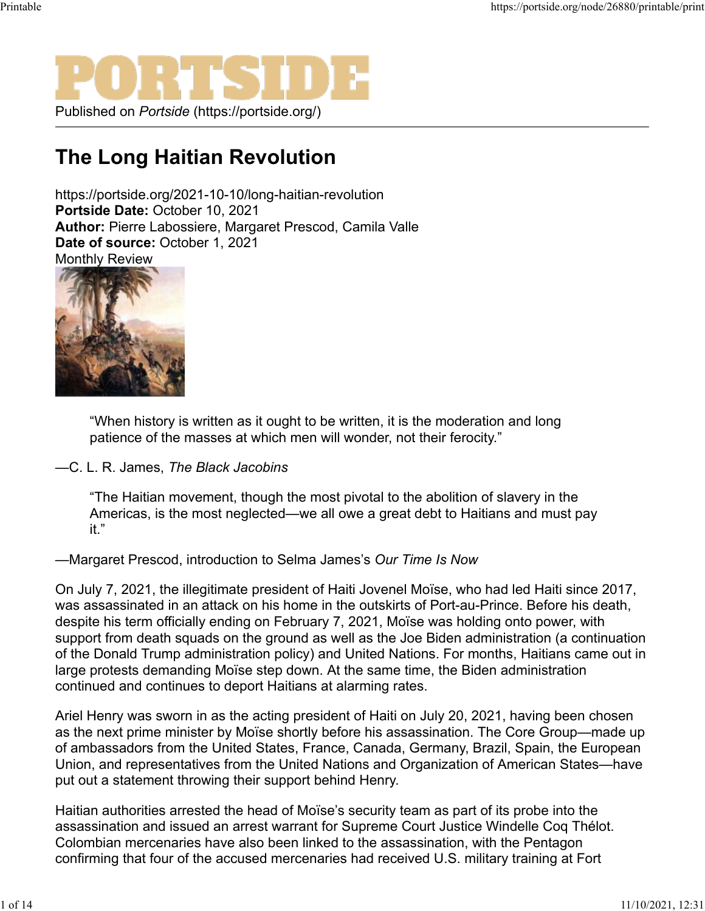Published on *Portside* (https://portside.org/)

## **The Long Haitian Revolution**

https://portside.org/2021-10-10/long-haitian-revolution **Portside Date:** October 10, 2021 **Author:** Pierre Labossiere, Margaret Prescod, Camila Valle **Date of source:** October 1, 2021 Monthly Review



"When history is written as it ought to be written, it is the moderation and long patience of the masses at which men will wonder, not their ferocity."

## —C. L. R. James, *The Black Jacobins*

"The Haitian movement, though the most pivotal to the abolition of slavery in the Americas, is the most neglected—we all owe a great debt to Haitians and must pay it."

## —Margaret Prescod, introduction to Selma James's *Our Time Is Now*

On July 7, 2021, the illegitimate president of Haiti Jovenel Moïse, who had led Haiti since 2017, was assassinated in an attack on his home in the outskirts of Port-au-Prince. Before his death, despite his term officially ending on February 7, 2021, Moïse was holding onto power, with support from death squads on the ground as well as the Joe Biden administration (a continuation of the Donald Trump administration policy) and United Nations. For months, Haitians came out in large protests demanding Moïse step down. At the same time, the Biden administration continued and continues to deport Haitians at alarming rates.

Ariel Henry was sworn in as the acting president of Haiti on July 20, 2021, having been chosen as the next prime minister by Moïse shortly before his assassination. The Core Group—made up of ambassadors from the United States, France, Canada, Germany, Brazil, Spain, the European Union, and representatives from the United Nations and Organization of American States—have put out a statement throwing their support behind Henry.

Haitian authorities arrested the head of Moïse's security team as part of its probe into the assassination and issued an arrest warrant for Supreme Court Justice Windelle Coq Thélot. Colombian mercenaries have also been linked to the assassination, with the Pentagon confirming that four of the accused mercenaries had received U.S. military training at Fort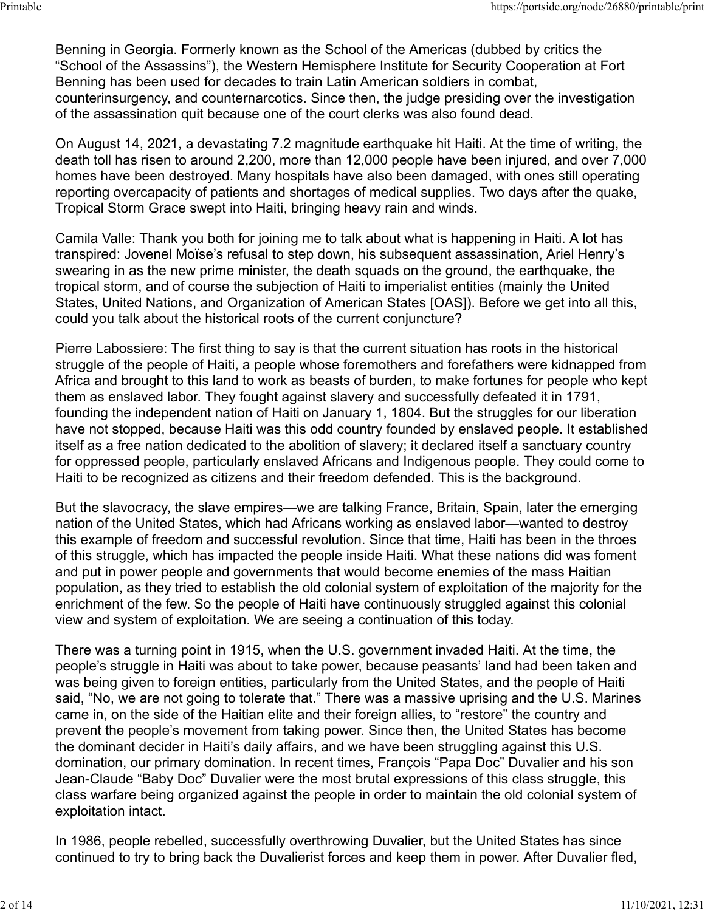Benning in Georgia. Formerly known as the School of the Americas (dubbed by critics the "School of the Assassins"), the Western Hemisphere Institute for Security Cooperation at Fort Benning has been used for decades to train Latin American soldiers in combat, counterinsurgency, and counternarcotics. Since then, the judge presiding over the investigation of the assassination quit because one of the court clerks was also found dead.

On August 14, 2021, a devastating 7.2 magnitude earthquake hit Haiti. At the time of writing, the death toll has risen to around 2,200, more than 12,000 people have been injured, and over 7,000 homes have been destroyed. Many hospitals have also been damaged, with ones still operating reporting overcapacity of patients and shortages of medical supplies. Two days after the quake, Tropical Storm Grace swept into Haiti, bringing heavy rain and winds.

Camila Valle: Thank you both for joining me to talk about what is happening in Haiti. A lot has transpired: Jovenel Moïse's refusal to step down, his subsequent assassination, Ariel Henry's swearing in as the new prime minister, the death squads on the ground, the earthquake, the tropical storm, and of course the subjection of Haiti to imperialist entities (mainly the United States, United Nations, and Organization of American States [OAS]). Before we get into all this, could you talk about the historical roots of the current conjuncture?

Pierre Labossiere: The first thing to say is that the current situation has roots in the historical struggle of the people of Haiti, a people whose foremothers and forefathers were kidnapped from Africa and brought to this land to work as beasts of burden, to make fortunes for people who kept them as enslaved labor. They fought against slavery and successfully defeated it in 1791, founding the independent nation of Haiti on January 1, 1804. But the struggles for our liberation have not stopped, because Haiti was this odd country founded by enslaved people. It established itself as a free nation dedicated to the abolition of slavery; it declared itself a sanctuary country for oppressed people, particularly enslaved Africans and Indigenous people. They could come to Haiti to be recognized as citizens and their freedom defended. This is the background.

But the slavocracy, the slave empires—we are talking France, Britain, Spain, later the emerging nation of the United States, which had Africans working as enslaved labor—wanted to destroy this example of freedom and successful revolution. Since that time, Haiti has been in the throes of this struggle, which has impacted the people inside Haiti. What these nations did was foment and put in power people and governments that would become enemies of the mass Haitian population, as they tried to establish the old colonial system of exploitation of the majority for the enrichment of the few. So the people of Haiti have continuously struggled against this colonial view and system of exploitation. We are seeing a continuation of this today.

There was a turning point in 1915, when the U.S. government invaded Haiti. At the time, the people's struggle in Haiti was about to take power, because peasants' land had been taken and was being given to foreign entities, particularly from the United States, and the people of Haiti said, "No, we are not going to tolerate that." There was a massive uprising and the U.S. Marines came in, on the side of the Haitian elite and their foreign allies, to "restore" the country and prevent the people's movement from taking power. Since then, the United States has become the dominant decider in Haiti's daily affairs, and we have been struggling against this U.S. domination, our primary domination. In recent times, François "Papa Doc" Duvalier and his son Jean-Claude "Baby Doc" Duvalier were the most brutal expressions of this class struggle, this class warfare being organized against the people in order to maintain the old colonial system of exploitation intact.

In 1986, people rebelled, successfully overthrowing Duvalier, but the United States has since continued to try to bring back the Duvalierist forces and keep them in power. After Duvalier fled,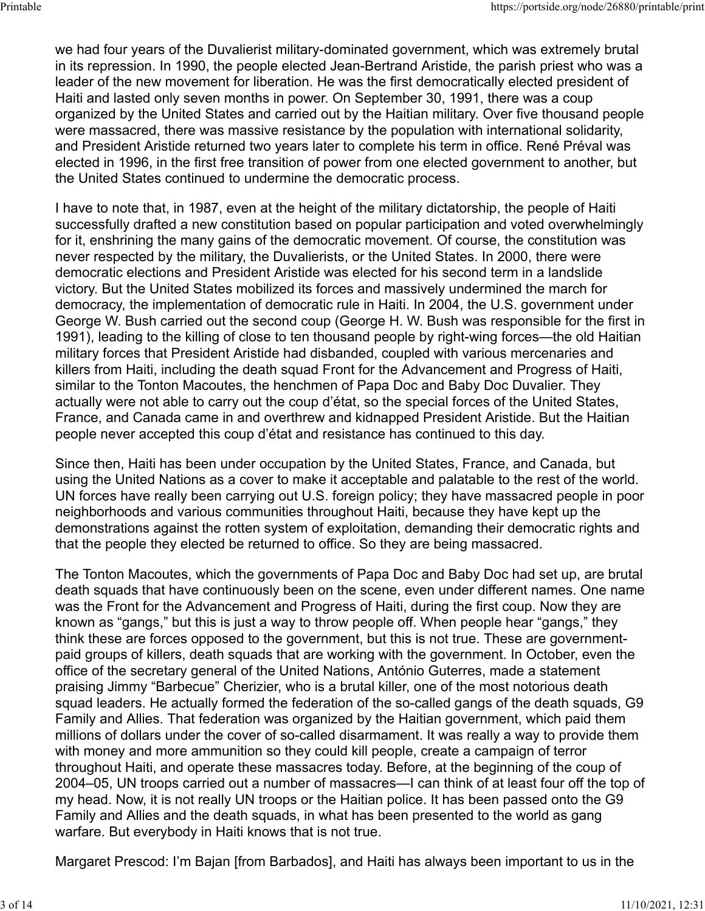we had four years of the Duvalierist military-dominated government, which was extremely brutal in its repression. In 1990, the people elected Jean-Bertrand Aristide, the parish priest who was a leader of the new movement for liberation. He was the first democratically elected president of Haiti and lasted only seven months in power. On September 30, 1991, there was a coup organized by the United States and carried out by the Haitian military. Over five thousand people were massacred, there was massive resistance by the population with international solidarity, and President Aristide returned two years later to complete his term in office. René Préval was elected in 1996, in the first free transition of power from one elected government to another, but the United States continued to undermine the democratic process.

I have to note that, in 1987, even at the height of the military dictatorship, the people of Haiti successfully drafted a new constitution based on popular participation and voted overwhelmingly for it, enshrining the many gains of the democratic movement. Of course, the constitution was never respected by the military, the Duvalierists, or the United States. In 2000, there were democratic elections and President Aristide was elected for his second term in a landslide victory. But the United States mobilized its forces and massively undermined the march for democracy, the implementation of democratic rule in Haiti. In 2004, the U.S. government under George W. Bush carried out the second coup (George H. W. Bush was responsible for the first in 1991), leading to the killing of close to ten thousand people by right-wing forces—the old Haitian military forces that President Aristide had disbanded, coupled with various mercenaries and killers from Haiti, including the death squad Front for the Advancement and Progress of Haiti, similar to the Tonton Macoutes, the henchmen of Papa Doc and Baby Doc Duvalier. They actually were not able to carry out the coup d'état, so the special forces of the United States, France, and Canada came in and overthrew and kidnapped President Aristide. But the Haitian people never accepted this coup d'état and resistance has continued to this day.

Since then, Haiti has been under occupation by the United States, France, and Canada, but using the United Nations as a cover to make it acceptable and palatable to the rest of the world. UN forces have really been carrying out U.S. foreign policy; they have massacred people in poor neighborhoods and various communities throughout Haiti, because they have kept up the demonstrations against the rotten system of exploitation, demanding their democratic rights and that the people they elected be returned to office. So they are being massacred.

The Tonton Macoutes, which the governments of Papa Doc and Baby Doc had set up, are brutal death squads that have continuously been on the scene, even under different names. One name was the Front for the Advancement and Progress of Haiti, during the first coup. Now they are known as "gangs," but this is just a way to throw people off. When people hear "gangs," they think these are forces opposed to the government, but this is not true. These are governmentpaid groups of killers, death squads that are working with the government. In October, even the office of the secretary general of the United Nations, António Guterres, made a statement praising Jimmy "Barbecue" Cherizier, who is a brutal killer, one of the most notorious death squad leaders. He actually formed the federation of the so-called gangs of the death squads, G9 Family and Allies. That federation was organized by the Haitian government, which paid them millions of dollars under the cover of so-called disarmament. It was really a way to provide them with money and more ammunition so they could kill people, create a campaign of terror throughout Haiti, and operate these massacres today. Before, at the beginning of the coup of 2004–05, UN troops carried out a number of massacres—I can think of at least four off the top of my head. Now, it is not really UN troops or the Haitian police. It has been passed onto the G9 Family and Allies and the death squads, in what has been presented to the world as gang warfare. But everybody in Haiti knows that is not true.

Margaret Prescod: I'm Bajan [from Barbados], and Haiti has always been important to us in the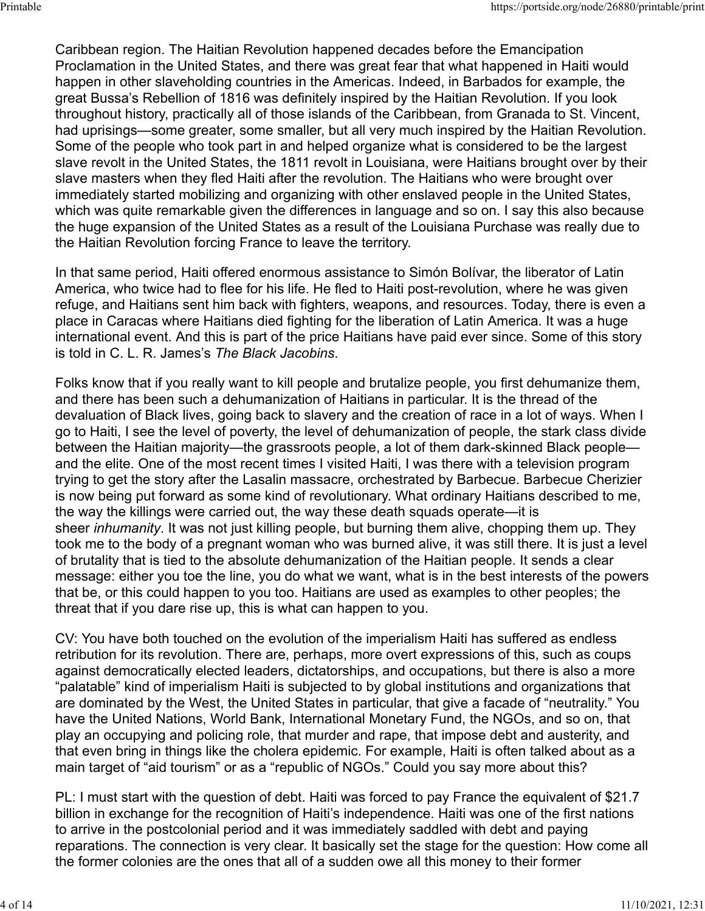Caribbean region. The Haitian Revolution happened decades before the Emancipation Proclamation in the United States, and there was great fear that what happened in Haiti would happen in other slaveholding countries in the Americas. Indeed, in Barbados for example, the great Bussa's Rebellion of 1816 was definitely inspired by the Haitian Revolution. If you look throughout history, practically all of those islands of the Caribbean, from Granada to St. Vincent, had uprisings—some greater, some smaller, but all very much inspired by the Haitian Revolution. Some of the people who took part in and helped organize what is considered to be the largest slave revolt in the United States, the 1811 revolt in Louisiana, were Haitians brought over by their slave masters when they fled Haiti after the revolution. The Haitians who were brought over immediately started mobilizing and organizing with other enslaved people in the United States, which was quite remarkable given the differences in language and so on. I say this also because the huge expansion of the United States as a result of the Louisiana Purchase was really due to the Haitian Revolution forcing France to leave the territory.

In that same period, Haiti offered enormous assistance to Simón Bolívar, the liberator of Latin America, who twice had to flee for his life. He fled to Haiti post-revolution, where he was given refuge, and Haitians sent him back with fighters, weapons, and resources. Today, there is even a place in Caracas where Haitians died fighting for the liberation of Latin America. It was a huge international event. And this is part of the price Haitians have paid ever since. Some of this story is told in C. L. R. James's *The Black Jacobins*.

Folks know that if you really want to kill people and brutalize people, you first dehumanize them, and there has been such a dehumanization of Haitians in particular. It is the thread of the devaluation of Black lives, going back to slavery and the creation of race in a lot of ways. When I go to Haiti, I see the level of poverty, the level of dehumanization of people, the stark class divide between the Haitian majority—the grassroots people, a lot of them dark-skinned Black people and the elite. One of the most recent times I visited Haiti, I was there with a television program trying to get the story after the Lasalin massacre, orchestrated by Barbecue. Barbecue Cherizier is now being put forward as some kind of revolutionary. What ordinary Haitians described to me, the way the killings were carried out, the way these death squads operate—it is sheer *inhumanity*. It was not just killing people, but burning them alive, chopping them up. They took me to the body of a pregnant woman who was burned alive, it was still there. It is just a level of brutality that is tied to the absolute dehumanization of the Haitian people. It sends a clear message: either you toe the line, you do what we want, what is in the best interests of the powers that be, or this could happen to you too. Haitians are used as examples to other peoples; the threat that if you dare rise up, this is what can happen to you.

CV: You have both touched on the evolution of the imperialism Haiti has suffered as endless retribution for its revolution. There are, perhaps, more overt expressions of this, such as coups against democratically elected leaders, dictatorships, and occupations, but there is also a more "palatable" kind of imperialism Haiti is subjected to by global institutions and organizations that are dominated by the West, the United States in particular, that give a facade of "neutrality." You have the United Nations, World Bank, International Monetary Fund, the NGOs, and so on, that play an occupying and policing role, that murder and rape, that impose debt and austerity, and that even bring in things like the cholera epidemic. For example, Haiti is often talked about as a main target of "aid tourism" or as a "republic of NGOs." Could you say more about this?

PL: I must start with the question of debt. Haiti was forced to pay France the equivalent of \$21.7 billion in exchange for the recognition of Haiti's independence. Haiti was one of the first nations to arrive in the postcolonial period and it was immediately saddled with debt and paying reparations. The connection is very clear. It basically set the stage for the question: How come all the former colonies are the ones that all of a sudden owe all this money to their former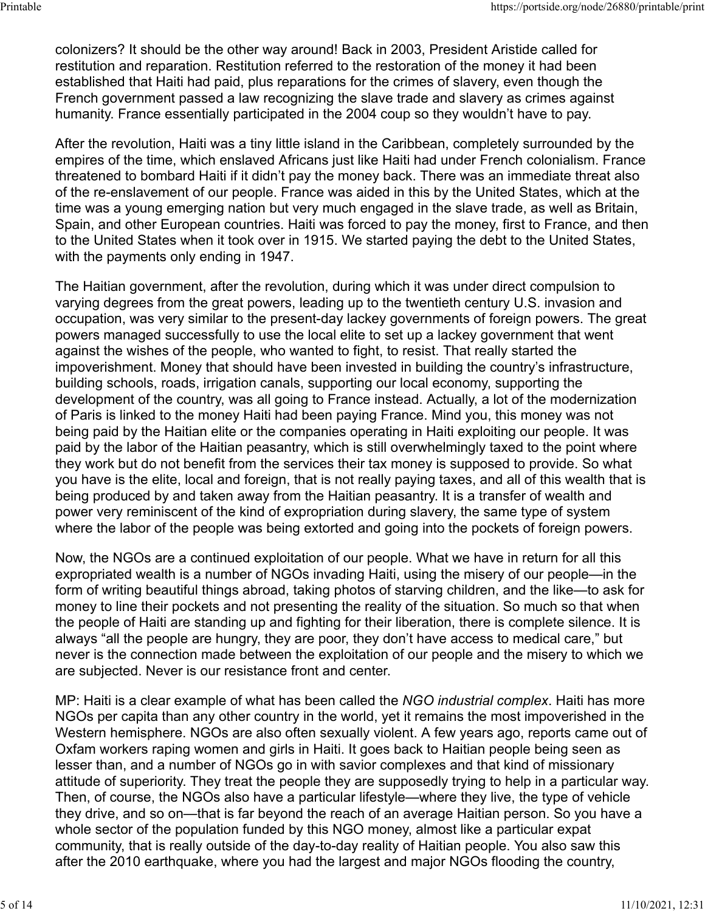colonizers? It should be the other way around! Back in 2003, President Aristide called for restitution and reparation. Restitution referred to the restoration of the money it had been established that Haiti had paid, plus reparations for the crimes of slavery, even though the French government passed a law recognizing the slave trade and slavery as crimes against humanity. France essentially participated in the 2004 coup so they wouldn't have to pay.

After the revolution, Haiti was a tiny little island in the Caribbean, completely surrounded by the empires of the time, which enslaved Africans just like Haiti had under French colonialism. France threatened to bombard Haiti if it didn't pay the money back. There was an immediate threat also of the re-enslavement of our people. France was aided in this by the United States, which at the time was a young emerging nation but very much engaged in the slave trade, as well as Britain, Spain, and other European countries. Haiti was forced to pay the money, first to France, and then to the United States when it took over in 1915. We started paying the debt to the United States, with the payments only ending in 1947.

The Haitian government, after the revolution, during which it was under direct compulsion to varying degrees from the great powers, leading up to the twentieth century U.S. invasion and occupation, was very similar to the present-day lackey governments of foreign powers. The great powers managed successfully to use the local elite to set up a lackey government that went against the wishes of the people, who wanted to fight, to resist. That really started the impoverishment. Money that should have been invested in building the country's infrastructure, building schools, roads, irrigation canals, supporting our local economy, supporting the development of the country, was all going to France instead. Actually, a lot of the modernization of Paris is linked to the money Haiti had been paying France. Mind you, this money was not being paid by the Haitian elite or the companies operating in Haiti exploiting our people. It was paid by the labor of the Haitian peasantry, which is still overwhelmingly taxed to the point where they work but do not benefit from the services their tax money is supposed to provide. So what you have is the elite, local and foreign, that is not really paying taxes, and all of this wealth that is being produced by and taken away from the Haitian peasantry. It is a transfer of wealth and power very reminiscent of the kind of expropriation during slavery, the same type of system where the labor of the people was being extorted and going into the pockets of foreign powers.

Now, the NGOs are a continued exploitation of our people. What we have in return for all this expropriated wealth is a number of NGOs invading Haiti, using the misery of our people—in the form of writing beautiful things abroad, taking photos of starving children, and the like—to ask for money to line their pockets and not presenting the reality of the situation. So much so that when the people of Haiti are standing up and fighting for their liberation, there is complete silence. It is always "all the people are hungry, they are poor, they don't have access to medical care," but never is the connection made between the exploitation of our people and the misery to which we are subjected. Never is our resistance front and center.

MP: Haiti is a clear example of what has been called the *NGO industrial complex*. Haiti has more NGOs per capita than any other country in the world, yet it remains the most impoverished in the Western hemisphere. NGOs are also often sexually violent. A few years ago, reports came out of Oxfam workers raping women and girls in Haiti. It goes back to Haitian people being seen as lesser than, and a number of NGOs go in with savior complexes and that kind of missionary attitude of superiority. They treat the people they are supposedly trying to help in a particular way. Then, of course, the NGOs also have a particular lifestyle—where they live, the type of vehicle they drive, and so on—that is far beyond the reach of an average Haitian person. So you have a whole sector of the population funded by this NGO money, almost like a particular expat community, that is really outside of the day-to-day reality of Haitian people. You also saw this after the 2010 earthquake, where you had the largest and major NGOs flooding the country,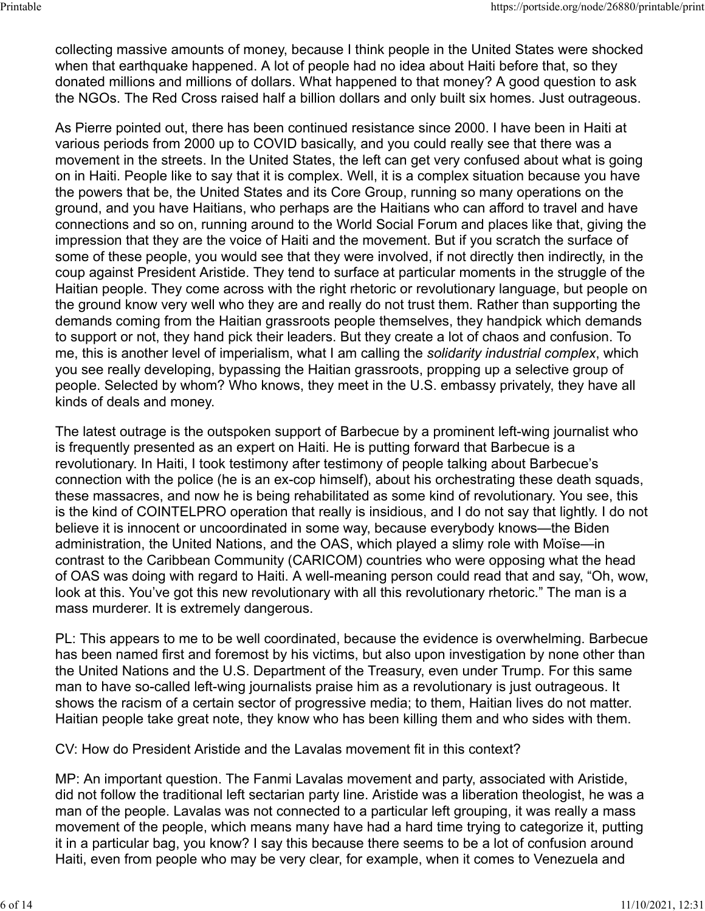collecting massive amounts of money, because I think people in the United States were shocked when that earthquake happened. A lot of people had no idea about Haiti before that, so they donated millions and millions of dollars. What happened to that money? A good question to ask the NGOs. The Red Cross raised half a billion dollars and only built six homes. Just outrageous.

As Pierre pointed out, there has been continued resistance since 2000. I have been in Haiti at various periods from 2000 up to COVID basically, and you could really see that there was a movement in the streets. In the United States, the left can get very confused about what is going on in Haiti. People like to say that it is complex. Well, it is a complex situation because you have the powers that be, the United States and its Core Group, running so many operations on the ground, and you have Haitians, who perhaps are the Haitians who can afford to travel and have connections and so on, running around to the World Social Forum and places like that, giving the impression that they are the voice of Haiti and the movement. But if you scratch the surface of some of these people, you would see that they were involved, if not directly then indirectly, in the coup against President Aristide. They tend to surface at particular moments in the struggle of the Haitian people. They come across with the right rhetoric or revolutionary language, but people on the ground know very well who they are and really do not trust them. Rather than supporting the demands coming from the Haitian grassroots people themselves, they handpick which demands to support or not, they hand pick their leaders. But they create a lot of chaos and confusion. To me, this is another level of imperialism, what I am calling the *solidarity industrial complex*, which you see really developing, bypassing the Haitian grassroots, propping up a selective group of people. Selected by whom? Who knows, they meet in the U.S. embassy privately, they have all kinds of deals and money.

The latest outrage is the outspoken support of Barbecue by a prominent left-wing journalist who is frequently presented as an expert on Haiti. He is putting forward that Barbecue is a revolutionary. In Haiti, I took testimony after testimony of people talking about Barbecue's connection with the police (he is an ex-cop himself), about his orchestrating these death squads, these massacres, and now he is being rehabilitated as some kind of revolutionary. You see, this is the kind of COINTELPRO operation that really is insidious, and I do not say that lightly. I do not believe it is innocent or uncoordinated in some way, because everybody knows—the Biden administration, the United Nations, and the OAS, which played a slimy role with Moïse—in contrast to the Caribbean Community (CARICOM) countries who were opposing what the head of OAS was doing with regard to Haiti. A well-meaning person could read that and say, "Oh, wow, look at this. You've got this new revolutionary with all this revolutionary rhetoric." The man is a mass murderer. It is extremely dangerous.

PL: This appears to me to be well coordinated, because the evidence is overwhelming. Barbecue has been named first and foremost by his victims, but also upon investigation by none other than the United Nations and the U.S. Department of the Treasury, even under Trump. For this same man to have so-called left-wing journalists praise him as a revolutionary is just outrageous. It shows the racism of a certain sector of progressive media; to them, Haitian lives do not matter. Haitian people take great note, they know who has been killing them and who sides with them.

CV: How do President Aristide and the Lavalas movement fit in this context?

MP: An important question. The Fanmi Lavalas movement and party, associated with Aristide, did not follow the traditional left sectarian party line. Aristide was a liberation theologist, he was a man of the people. Lavalas was not connected to a particular left grouping, it was really a mass movement of the people, which means many have had a hard time trying to categorize it, putting it in a particular bag, you know? I say this because there seems to be a lot of confusion around Haiti, even from people who may be very clear, for example, when it comes to Venezuela and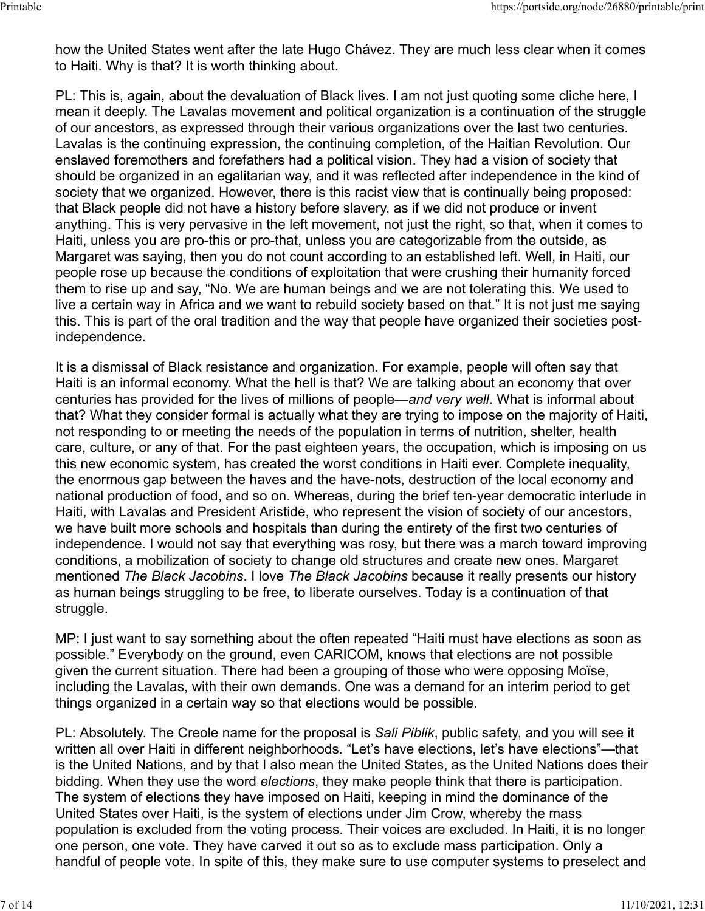how the United States went after the late Hugo Chávez. They are much less clear when it comes to Haiti. Why is that? It is worth thinking about.

PL: This is, again, about the devaluation of Black lives. I am not just quoting some cliche here, I mean it deeply. The Lavalas movement and political organization is a continuation of the struggle of our ancestors, as expressed through their various organizations over the last two centuries. Lavalas is the continuing expression, the continuing completion, of the Haitian Revolution. Our enslaved foremothers and forefathers had a political vision. They had a vision of society that should be organized in an egalitarian way, and it was reflected after independence in the kind of society that we organized. However, there is this racist view that is continually being proposed: that Black people did not have a history before slavery, as if we did not produce or invent anything. This is very pervasive in the left movement, not just the right, so that, when it comes to Haiti, unless you are pro-this or pro-that, unless you are categorizable from the outside, as Margaret was saying, then you do not count according to an established left. Well, in Haiti, our people rose up because the conditions of exploitation that were crushing their humanity forced them to rise up and say, "No. We are human beings and we are not tolerating this. We used to live a certain way in Africa and we want to rebuild society based on that." It is not just me saying this. This is part of the oral tradition and the way that people have organized their societies postindependence.

It is a dismissal of Black resistance and organization. For example, people will often say that Haiti is an informal economy. What the hell is that? We are talking about an economy that over centuries has provided for the lives of millions of people—*and very well*. What is informal about that? What they consider formal is actually what they are trying to impose on the majority of Haiti, not responding to or meeting the needs of the population in terms of nutrition, shelter, health care, culture, or any of that. For the past eighteen years, the occupation, which is imposing on us this new economic system, has created the worst conditions in Haiti ever. Complete inequality, the enormous gap between the haves and the have-nots, destruction of the local economy and national production of food, and so on. Whereas, during the brief ten-year democratic interlude in Haiti, with Lavalas and President Aristide, who represent the vision of society of our ancestors, we have built more schools and hospitals than during the entirety of the first two centuries of independence. I would not say that everything was rosy, but there was a march toward improving conditions, a mobilization of society to change old structures and create new ones. Margaret mentioned *The Black Jacobins*. I love *The Black Jacobins* because it really presents our history as human beings struggling to be free, to liberate ourselves. Today is a continuation of that struggle.

MP: I just want to say something about the often repeated "Haiti must have elections as soon as possible." Everybody on the ground, even CARICOM, knows that elections are not possible given the current situation. There had been a grouping of those who were opposing Moïse, including the Lavalas, with their own demands. One was a demand for an interim period to get things organized in a certain way so that elections would be possible.

PL: Absolutely. The Creole name for the proposal is *Sali Piblik*, public safety, and you will see it written all over Haiti in different neighborhoods. "Let's have elections, let's have elections"—that is the United Nations, and by that I also mean the United States, as the United Nations does their bidding. When they use the word *elections*, they make people think that there is participation. The system of elections they have imposed on Haiti, keeping in mind the dominance of the United States over Haiti, is the system of elections under Jim Crow, whereby the mass population is excluded from the voting process. Their voices are excluded. In Haiti, it is no longer one person, one vote. They have carved it out so as to exclude mass participation. Only a handful of people vote. In spite of this, they make sure to use computer systems to preselect and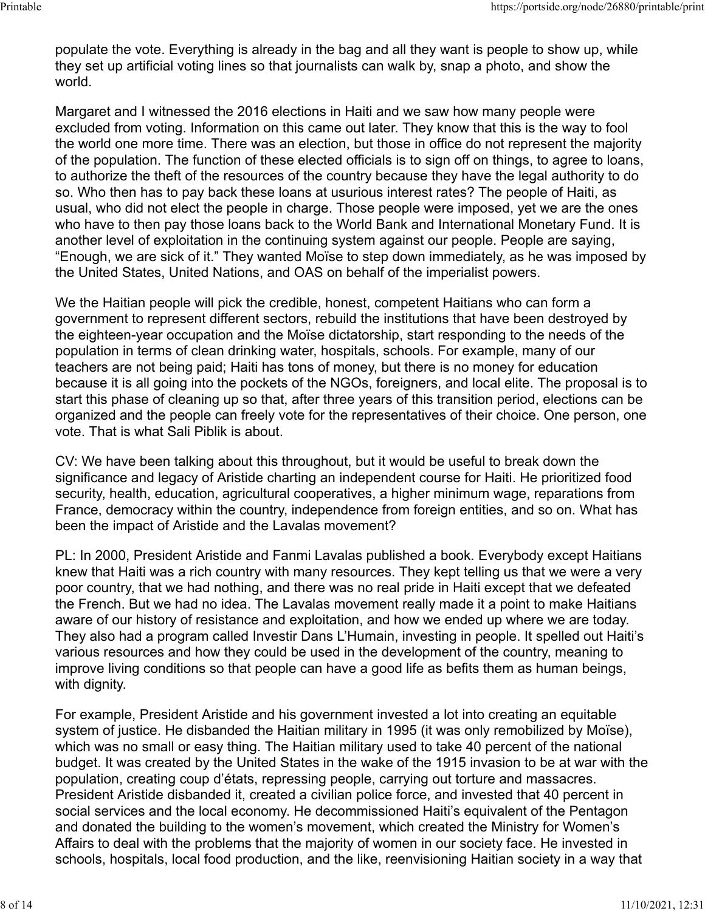populate the vote. Everything is already in the bag and all they want is people to show up, while they set up artificial voting lines so that journalists can walk by, snap a photo, and show the world.

Margaret and I witnessed the 2016 elections in Haiti and we saw how many people were excluded from voting. Information on this came out later. They know that this is the way to fool the world one more time. There was an election, but those in office do not represent the majority of the population. The function of these elected officials is to sign off on things, to agree to loans, to authorize the theft of the resources of the country because they have the legal authority to do so. Who then has to pay back these loans at usurious interest rates? The people of Haiti, as usual, who did not elect the people in charge. Those people were imposed, yet we are the ones who have to then pay those loans back to the World Bank and International Monetary Fund. It is another level of exploitation in the continuing system against our people. People are saying, "Enough, we are sick of it." They wanted Moïse to step down immediately, as he was imposed by the United States, United Nations, and OAS on behalf of the imperialist powers.

We the Haitian people will pick the credible, honest, competent Haitians who can form a government to represent different sectors, rebuild the institutions that have been destroyed by the eighteen-year occupation and the Moïse dictatorship, start responding to the needs of the population in terms of clean drinking water, hospitals, schools. For example, many of our teachers are not being paid; Haiti has tons of money, but there is no money for education because it is all going into the pockets of the NGOs, foreigners, and local elite. The proposal is to start this phase of cleaning up so that, after three years of this transition period, elections can be organized and the people can freely vote for the representatives of their choice. One person, one vote. That is what Sali Piblik is about.

CV: We have been talking about this throughout, but it would be useful to break down the significance and legacy of Aristide charting an independent course for Haiti. He prioritized food security, health, education, agricultural cooperatives, a higher minimum wage, reparations from France, democracy within the country, independence from foreign entities, and so on. What has been the impact of Aristide and the Lavalas movement?

PL: In 2000, President Aristide and Fanmi Lavalas published a book. Everybody except Haitians knew that Haiti was a rich country with many resources. They kept telling us that we were a very poor country, that we had nothing, and there was no real pride in Haiti except that we defeated the French. But we had no idea. The Lavalas movement really made it a point to make Haitians aware of our history of resistance and exploitation, and how we ended up where we are today. They also had a program called Investir Dans L'Humain, investing in people. It spelled out Haiti's various resources and how they could be used in the development of the country, meaning to improve living conditions so that people can have a good life as befits them as human beings, with dignity.

For example, President Aristide and his government invested a lot into creating an equitable system of justice. He disbanded the Haitian military in 1995 (it was only remobilized by Moïse), which was no small or easy thing. The Haitian military used to take 40 percent of the national budget. It was created by the United States in the wake of the 1915 invasion to be at war with the population, creating coup d'états, repressing people, carrying out torture and massacres. President Aristide disbanded it, created a civilian police force, and invested that 40 percent in social services and the local economy. He decommissioned Haiti's equivalent of the Pentagon and donated the building to the women's movement, which created the Ministry for Women's Affairs to deal with the problems that the majority of women in our society face. He invested in schools, hospitals, local food production, and the like, reenvisioning Haitian society in a way that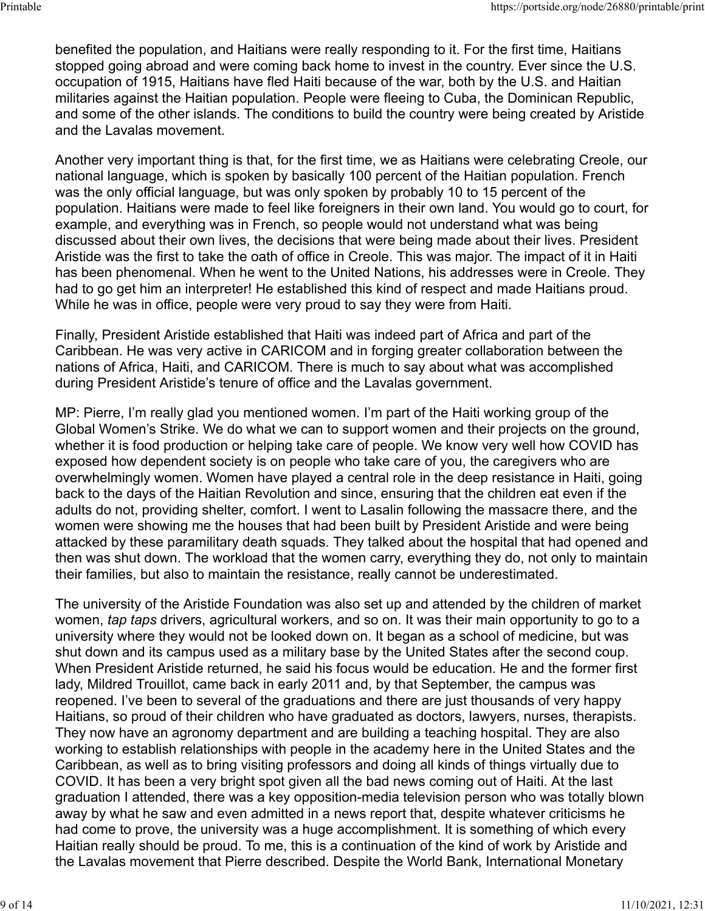benefited the population, and Haitians were really responding to it. For the first time, Haitians stopped going abroad and were coming back home to invest in the country. Ever since the U.S. occupation of 1915, Haitians have fled Haiti because of the war, both by the U.S. and Haitian militaries against the Haitian population. People were fleeing to Cuba, the Dominican Republic, and some of the other islands. The conditions to build the country were being created by Aristide and the Lavalas movement.

Another very important thing is that, for the first time, we as Haitians were celebrating Creole, our national language, which is spoken by basically 100 percent of the Haitian population. French was the only official language, but was only spoken by probably 10 to 15 percent of the population. Haitians were made to feel like foreigners in their own land. You would go to court, for example, and everything was in French, so people would not understand what was being discussed about their own lives, the decisions that were being made about their lives. President Aristide was the first to take the oath of office in Creole. This was major. The impact of it in Haiti has been phenomenal. When he went to the United Nations, his addresses were in Creole. They had to go get him an interpreter! He established this kind of respect and made Haitians proud. While he was in office, people were very proud to say they were from Haiti.

Finally, President Aristide established that Haiti was indeed part of Africa and part of the Caribbean. He was very active in CARICOM and in forging greater collaboration between the nations of Africa, Haiti, and CARICOM. There is much to say about what was accomplished during President Aristide's tenure of office and the Lavalas government.

MP: Pierre, I'm really glad you mentioned women. I'm part of the Haiti working group of the Global Women's Strike. We do what we can to support women and their projects on the ground, whether it is food production or helping take care of people. We know very well how COVID has exposed how dependent society is on people who take care of you, the caregivers who are overwhelmingly women. Women have played a central role in the deep resistance in Haiti, going back to the days of the Haitian Revolution and since, ensuring that the children eat even if the adults do not, providing shelter, comfort. I went to Lasalin following the massacre there, and the women were showing me the houses that had been built by President Aristide and were being attacked by these paramilitary death squads. They talked about the hospital that had opened and then was shut down. The workload that the women carry, everything they do, not only to maintain their families, but also to maintain the resistance, really cannot be underestimated.

The university of the Aristide Foundation was also set up and attended by the children of market women, *tap taps* drivers, agricultural workers, and so on. It was their main opportunity to go to a university where they would not be looked down on. It began as a school of medicine, but was shut down and its campus used as a military base by the United States after the second coup. When President Aristide returned, he said his focus would be education. He and the former first lady, Mildred Trouillot, came back in early 2011 and, by that September, the campus was reopened. I've been to several of the graduations and there are just thousands of very happy Haitians, so proud of their children who have graduated as doctors, lawyers, nurses, therapists. They now have an agronomy department and are building a teaching hospital. They are also working to establish relationships with people in the academy here in the United States and the Caribbean, as well as to bring visiting professors and doing all kinds of things virtually due to COVID. It has been a very bright spot given all the bad news coming out of Haiti. At the last graduation I attended, there was a key opposition-media television person who was totally blown away by what he saw and even admitted in a news report that, despite whatever criticisms he had come to prove, the university was a huge accomplishment. It is something of which every Haitian really should be proud. To me, this is a continuation of the kind of work by Aristide and the Lavalas movement that Pierre described. Despite the World Bank, International Monetary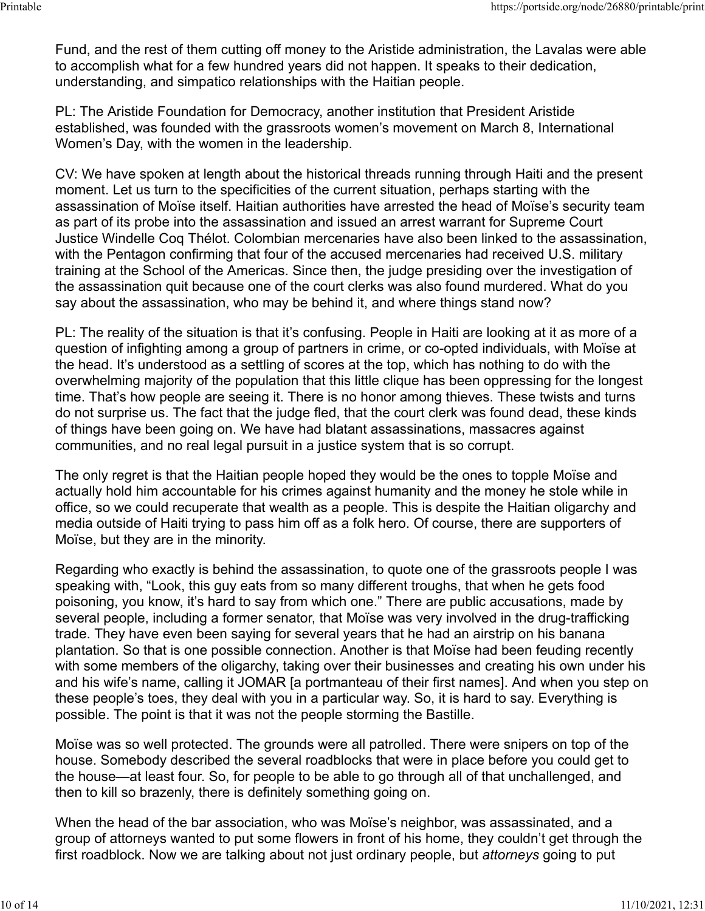Fund, and the rest of them cutting off money to the Aristide administration, the Lavalas were able to accomplish what for a few hundred years did not happen. It speaks to their dedication, understanding, and simpatico relationships with the Haitian people.

PL: The Aristide Foundation for Democracy, another institution that President Aristide established, was founded with the grassroots women's movement on March 8, International Women's Day, with the women in the leadership.

CV: We have spoken at length about the historical threads running through Haiti and the present moment. Let us turn to the specificities of the current situation, perhaps starting with the assassination of Moïse itself. Haitian authorities have arrested the head of Moïse's security team as part of its probe into the assassination and issued an arrest warrant for Supreme Court Justice Windelle Coq Thélot. Colombian mercenaries have also been linked to the assassination, with the Pentagon confirming that four of the accused mercenaries had received U.S. military training at the School of the Americas. Since then, the judge presiding over the investigation of the assassination quit because one of the court clerks was also found murdered. What do you say about the assassination, who may be behind it, and where things stand now?

PL: The reality of the situation is that it's confusing. People in Haiti are looking at it as more of a question of infighting among a group of partners in crime, or co-opted individuals, with Moïse at the head. It's understood as a settling of scores at the top, which has nothing to do with the overwhelming majority of the population that this little clique has been oppressing for the longest time. That's how people are seeing it. There is no honor among thieves. These twists and turns do not surprise us. The fact that the judge fled, that the court clerk was found dead, these kinds of things have been going on. We have had blatant assassinations, massacres against communities, and no real legal pursuit in a justice system that is so corrupt.

The only regret is that the Haitian people hoped they would be the ones to topple Moïse and actually hold him accountable for his crimes against humanity and the money he stole while in office, so we could recuperate that wealth as a people. This is despite the Haitian oligarchy and media outside of Haiti trying to pass him off as a folk hero. Of course, there are supporters of Moïse, but they are in the minority.

Regarding who exactly is behind the assassination, to quote one of the grassroots people I was speaking with, "Look, this guy eats from so many different troughs, that when he gets food poisoning, you know, it's hard to say from which one." There are public accusations, made by several people, including a former senator, that Moïse was very involved in the drug-trafficking trade. They have even been saying for several years that he had an airstrip on his banana plantation. So that is one possible connection. Another is that Moïse had been feuding recently with some members of the oligarchy, taking over their businesses and creating his own under his and his wife's name, calling it JOMAR [a portmanteau of their first names]. And when you step on these people's toes, they deal with you in a particular way. So, it is hard to say. Everything is possible. The point is that it was not the people storming the Bastille.

Moïse was so well protected. The grounds were all patrolled. There were snipers on top of the house. Somebody described the several roadblocks that were in place before you could get to the house—at least four. So, for people to be able to go through all of that unchallenged, and then to kill so brazenly, there is definitely something going on.

When the head of the bar association, who was Moïse's neighbor, was assassinated, and a group of attorneys wanted to put some flowers in front of his home, they couldn't get through the first roadblock. Now we are talking about not just ordinary people, but *attorneys* going to put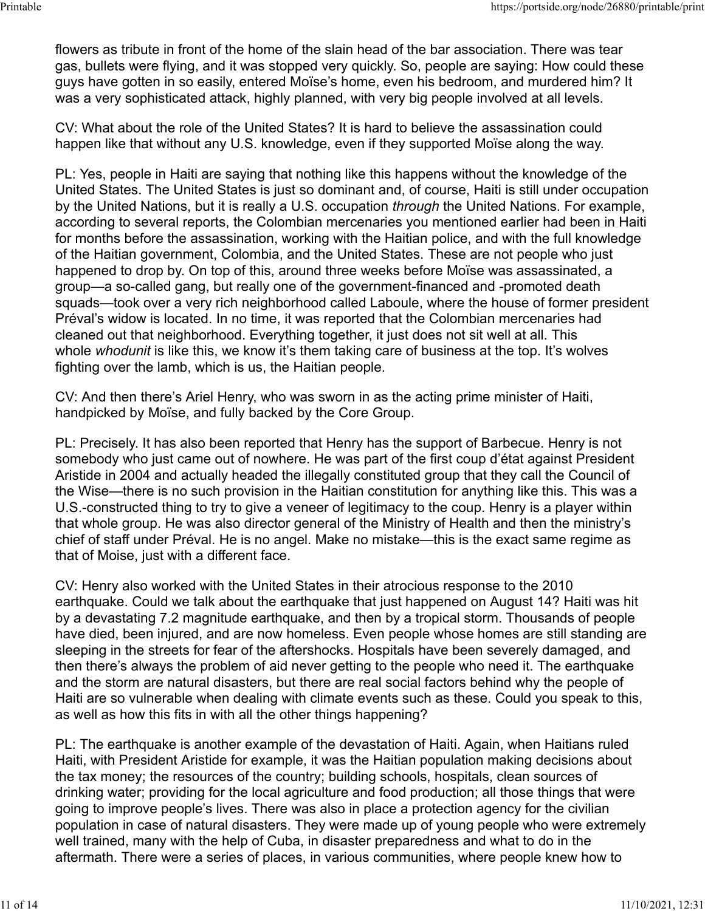flowers as tribute in front of the home of the slain head of the bar association. There was tear gas, bullets were flying, and it was stopped very quickly. So, people are saying: How could these guys have gotten in so easily, entered Moïse's home, even his bedroom, and murdered him? It was a very sophisticated attack, highly planned, with very big people involved at all levels.

CV: What about the role of the United States? It is hard to believe the assassination could happen like that without any U.S. knowledge, even if they supported Moïse along the way.

PL: Yes, people in Haiti are saying that nothing like this happens without the knowledge of the United States. The United States is just so dominant and, of course, Haiti is still under occupation by the United Nations, but it is really a U.S. occupation *through* the United Nations. For example, according to several reports, the Colombian mercenaries you mentioned earlier had been in Haiti for months before the assassination, working with the Haitian police, and with the full knowledge of the Haitian government, Colombia, and the United States. These are not people who just happened to drop by. On top of this, around three weeks before Moïse was assassinated, a group—a so-called gang, but really one of the government-financed and -promoted death squads—took over a very rich neighborhood called Laboule, where the house of former president Préval's widow is located. In no time, it was reported that the Colombian mercenaries had cleaned out that neighborhood. Everything together, it just does not sit well at all. This whole *whodunit* is like this, we know it's them taking care of business at the top. It's wolves fighting over the lamb, which is us, the Haitian people.

CV: And then there's Ariel Henry, who was sworn in as the acting prime minister of Haiti, handpicked by Moïse, and fully backed by the Core Group.

PL: Precisely. It has also been reported that Henry has the support of Barbecue. Henry is not somebody who just came out of nowhere. He was part of the first coup d'état against President Aristide in 2004 and actually headed the illegally constituted group that they call the Council of the Wise—there is no such provision in the Haitian constitution for anything like this. This was a U.S.-constructed thing to try to give a veneer of legitimacy to the coup. Henry is a player within that whole group. He was also director general of the Ministry of Health and then the ministry's chief of staff under Préval. He is no angel. Make no mistake—this is the exact same regime as that of Moise, just with a different face.

CV: Henry also worked with the United States in their atrocious response to the 2010 earthquake. Could we talk about the earthquake that just happened on August 14? Haiti was hit by a devastating 7.2 magnitude earthquake, and then by a tropical storm. Thousands of people have died, been injured, and are now homeless. Even people whose homes are still standing are sleeping in the streets for fear of the aftershocks. Hospitals have been severely damaged, and then there's always the problem of aid never getting to the people who need it. The earthquake and the storm are natural disasters, but there are real social factors behind why the people of Haiti are so vulnerable when dealing with climate events such as these. Could you speak to this, as well as how this fits in with all the other things happening?

PL: The earthquake is another example of the devastation of Haiti. Again, when Haitians ruled Haiti, with President Aristide for example, it was the Haitian population making decisions about the tax money; the resources of the country; building schools, hospitals, clean sources of drinking water; providing for the local agriculture and food production; all those things that were going to improve people's lives. There was also in place a protection agency for the civilian population in case of natural disasters. They were made up of young people who were extremely well trained, many with the help of Cuba, in disaster preparedness and what to do in the aftermath. There were a series of places, in various communities, where people knew how to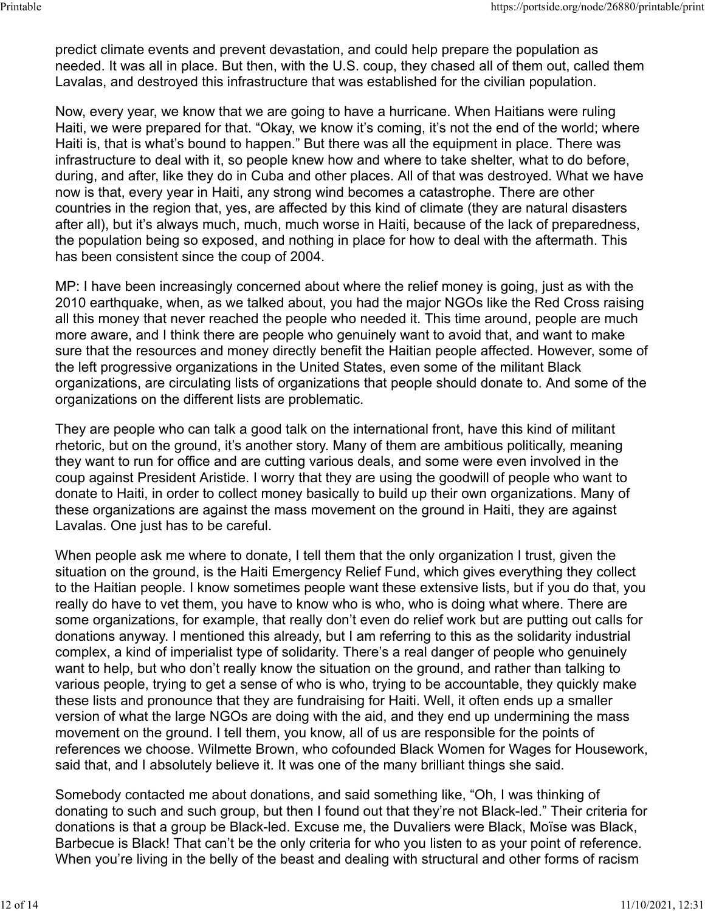predict climate events and prevent devastation, and could help prepare the population as needed. It was all in place. But then, with the U.S. coup, they chased all of them out, called them Lavalas, and destroyed this infrastructure that was established for the civilian population.

Now, every year, we know that we are going to have a hurricane. When Haitians were ruling Haiti, we were prepared for that. "Okay, we know it's coming, it's not the end of the world; where Haiti is, that is what's bound to happen." But there was all the equipment in place. There was infrastructure to deal with it, so people knew how and where to take shelter, what to do before, during, and after, like they do in Cuba and other places. All of that was destroyed. What we have now is that, every year in Haiti, any strong wind becomes a catastrophe. There are other countries in the region that, yes, are affected by this kind of climate (they are natural disasters after all), but it's always much, much, much worse in Haiti, because of the lack of preparedness, the population being so exposed, and nothing in place for how to deal with the aftermath. This has been consistent since the coup of 2004.

MP: I have been increasingly concerned about where the relief money is going, just as with the 2010 earthquake, when, as we talked about, you had the major NGOs like the Red Cross raising all this money that never reached the people who needed it. This time around, people are much more aware, and I think there are people who genuinely want to avoid that, and want to make sure that the resources and money directly benefit the Haitian people affected. However, some of the left progressive organizations in the United States, even some of the militant Black organizations, are circulating lists of organizations that people should donate to. And some of the organizations on the different lists are problematic.

They are people who can talk a good talk on the international front, have this kind of militant rhetoric, but on the ground, it's another story. Many of them are ambitious politically, meaning they want to run for office and are cutting various deals, and some were even involved in the coup against President Aristide. I worry that they are using the goodwill of people who want to donate to Haiti, in order to collect money basically to build up their own organizations. Many of these organizations are against the mass movement on the ground in Haiti, they are against Lavalas. One just has to be careful.

When people ask me where to donate, I tell them that the only organization I trust, given the situation on the ground, is the Haiti Emergency Relief Fund, which gives everything they collect to the Haitian people. I know sometimes people want these extensive lists, but if you do that, you really do have to vet them, you have to know who is who, who is doing what where. There are some organizations, for example, that really don't even do relief work but are putting out calls for donations anyway. I mentioned this already, but I am referring to this as the solidarity industrial complex, a kind of imperialist type of solidarity. There's a real danger of people who genuinely want to help, but who don't really know the situation on the ground, and rather than talking to various people, trying to get a sense of who is who, trying to be accountable, they quickly make these lists and pronounce that they are fundraising for Haiti. Well, it often ends up a smaller version of what the large NGOs are doing with the aid, and they end up undermining the mass movement on the ground. I tell them, you know, all of us are responsible for the points of references we choose. Wilmette Brown, who cofounded Black Women for Wages for Housework, said that, and I absolutely believe it. It was one of the many brilliant things she said.

Somebody contacted me about donations, and said something like, "Oh, I was thinking of donating to such and such group, but then I found out that they're not Black-led." Their criteria for donations is that a group be Black-led. Excuse me, the Duvaliers were Black, Moïse was Black, Barbecue is Black! That can't be the only criteria for who you listen to as your point of reference. When you're living in the belly of the beast and dealing with structural and other forms of racism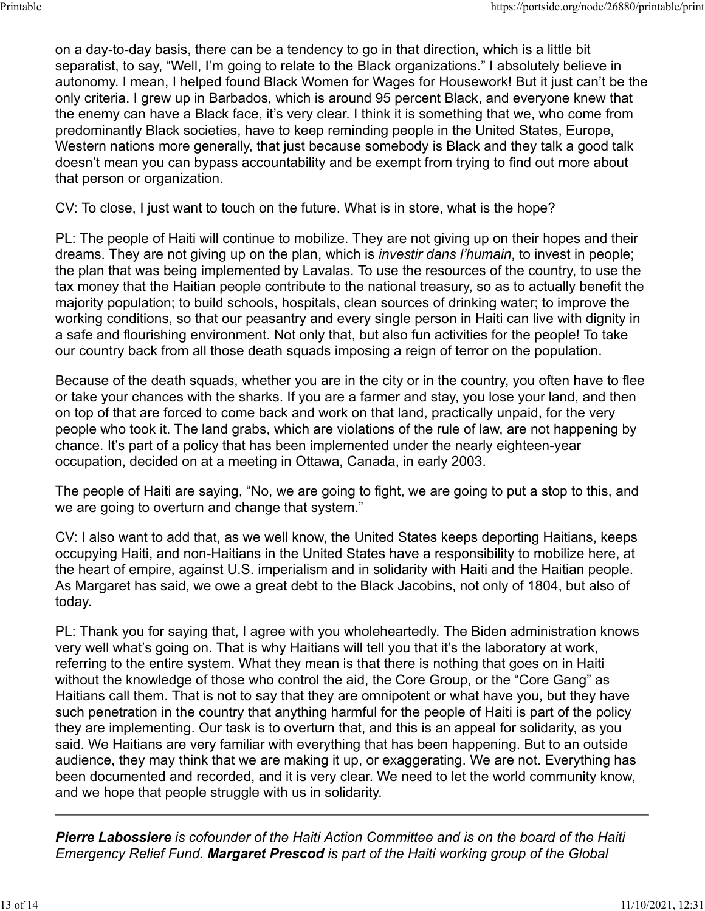on a day-to-day basis, there can be a tendency to go in that direction, which is a little bit separatist, to say, "Well, I'm going to relate to the Black organizations." I absolutely believe in autonomy. I mean, I helped found Black Women for Wages for Housework! But it just can't be the only criteria. I grew up in Barbados, which is around 95 percent Black, and everyone knew that the enemy can have a Black face, it's very clear. I think it is something that we, who come from predominantly Black societies, have to keep reminding people in the United States, Europe, Western nations more generally, that just because somebody is Black and they talk a good talk doesn't mean you can bypass accountability and be exempt from trying to find out more about that person or organization.

CV: To close, I just want to touch on the future. What is in store, what is the hope?

PL: The people of Haiti will continue to mobilize. They are not giving up on their hopes and their dreams. They are not giving up on the plan, which is *investir dans l'humain*, to invest in people; the plan that was being implemented by Lavalas. To use the resources of the country, to use the tax money that the Haitian people contribute to the national treasury, so as to actually benefit the majority population; to build schools, hospitals, clean sources of drinking water; to improve the working conditions, so that our peasantry and every single person in Haiti can live with dignity in a safe and flourishing environment. Not only that, but also fun activities for the people! To take our country back from all those death squads imposing a reign of terror on the population.

Because of the death squads, whether you are in the city or in the country, you often have to flee or take your chances with the sharks. If you are a farmer and stay, you lose your land, and then on top of that are forced to come back and work on that land, practically unpaid, for the very people who took it. The land grabs, which are violations of the rule of law, are not happening by chance. It's part of a policy that has been implemented under the nearly eighteen-year occupation, decided on at a meeting in Ottawa, Canada, in early 2003.

The people of Haiti are saying, "No, we are going to fight, we are going to put a stop to this, and we are going to overturn and change that system."

CV: I also want to add that, as we well know, the United States keeps deporting Haitians, keeps occupying Haiti, and non-Haitians in the United States have a responsibility to mobilize here, at the heart of empire, against U.S. imperialism and in solidarity with Haiti and the Haitian people. As Margaret has said, we owe a great debt to the Black Jacobins, not only of 1804, but also of today.

PL: Thank you for saying that, I agree with you wholeheartedly. The Biden administration knows very well what's going on. That is why Haitians will tell you that it's the laboratory at work, referring to the entire system. What they mean is that there is nothing that goes on in Haiti without the knowledge of those who control the aid, the Core Group, or the "Core Gang" as Haitians call them. That is not to say that they are omnipotent or what have you, but they have such penetration in the country that anything harmful for the people of Haiti is part of the policy they are implementing. Our task is to overturn that, and this is an appeal for solidarity, as you said. We Haitians are very familiar with everything that has been happening. But to an outside audience, they may think that we are making it up, or exaggerating. We are not. Everything has been documented and recorded, and it is very clear. We need to let the world community know, and we hope that people struggle with us in solidarity.

*Pierre Labossiere is cofounder of the Haiti Action Committee and is on the board of the Haiti Emergency Relief Fund. Margaret Prescod is part of the Haiti working group of the Global*